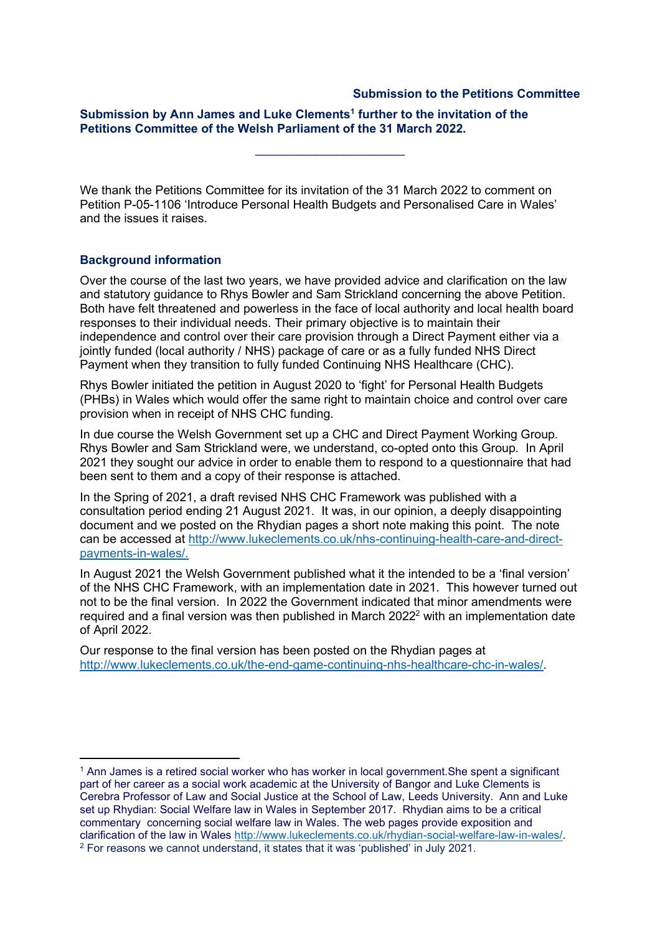## **Submission to the Petitions Committee**

## **Submission by Ann James and Luke Clements<sup>1</sup> further to the invitation of the Petitions Committee of the Welsh Parliament of the 31 March 2022.**

We thank the Petitions Committee for its invitation of the 31 March 2022 to comment on Petition P-05-1106 'Introduce Personal Health Budgets and Personalised Care in Wales' and the issues it raises.

 $\overline{\phantom{a}}$  , where  $\overline{\phantom{a}}$  , where  $\overline{\phantom{a}}$  , where  $\overline{\phantom{a}}$ 

## **Background information**

Over the course of the last two years, we have provided advice and clarification on the law and statutory guidance to Rhys Bowler and Sam Strickland concerning the above Petition. Both have felt threatened and powerless in the face of local authority and local health board responses to their individual needs. Their primary objective is to maintain their independence and control over their care provision through a Direct Payment either via a jointly funded (local authority / NHS) package of care or as a fully funded NHS Direct Payment when they transition to fully funded Continuing NHS Healthcare (CHC).

Rhys Bowler initiated the petition in August 2020 to 'fight' for Personal Health Budgets (PHBs) in Wales which would offer the same right to maintain choice and control over care provision when in receipt of NHS CHC funding.

In due course the Welsh Government set up a CHC and Direct Payment Working Group. Rhys Bowler and Sam Strickland were, we understand, co-opted onto this Group. In April 2021 they sought our advice in order to enable them to respond to a questionnaire that had been sent to them and a copy of their response is attached.

In the Spring of 2021, a draft revised NHS CHC Framework was published with a consultation period ending 21 August 2021. It was, in our opinion, a deeply disappointing document and we posted on the Rhydian pages a short note making this point. The note can be accessed at [http://www.lukeclements.co.uk/nhs-continuing-health-care-and-direct](http://www.lukeclements.co.uk/nhs-continuing-health-care-and-direct-payments-in-wales/)[payments-in-wales/.](http://www.lukeclements.co.uk/nhs-continuing-health-care-and-direct-payments-in-wales/)

In August 2021 the Welsh Government published what it the intended to be a 'final version' of the NHS CHC Framework, with an implementation date in 2021. This however turned out not to be the final version. In 2022 the Government indicated that minor amendments were required and a final version was then published in March 2022<sup>2</sup> with an implementation date of April 2022.

Our response to the final version has been posted on the Rhydian pages at [http://www.lukeclements.co.uk/the-end-game-continuing-nhs-healthcare-chc-in-wales/.](http://www.lukeclements.co.uk/the-end-game-continuing-nhs-healthcare-chc-in-wales/)

<sup>1</sup> Ann James is a retired social worker who has worker in local government.She spent a significant part of her career as a social work academic at the University of Bangor and Luke Clements is Cerebra Professor of Law and Social Justice at the School of Law, Leeds University. Ann and Luke set up Rhydian: Social Welfare law in Wales in September 2017. Rhydian aims to be a critical commentary concerning social welfare law in Wales. The web pages provide exposition and clarification of the law in Wales [http://www.lukeclements.co.uk/rhydian-social-welfare-law-in-wales/.](http://www.lukeclements.co.uk/rhydian-social-welfare-law-in-wales/) <sup>2</sup> For reasons we cannot understand, it states that it was 'published' in July 2021.